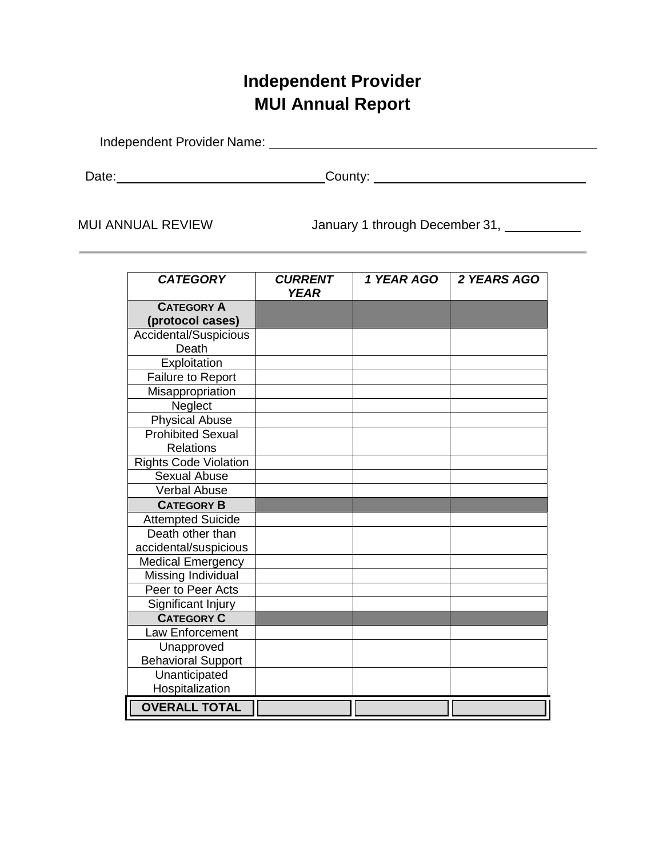## **Independent Provider MUI Annual Report**

Independent Provider Name:

Date: County: \_\_\_\_\_\_\_\_\_\_

MUI ANNUAL REVIEW January 1 through December 31,

| <b>CATEGORY</b>              | <b>CURRENT</b><br><b>YEAR</b> | 1 YEAR AGO | 2 YEARS AGO |
|------------------------------|-------------------------------|------------|-------------|
| <b>CATEGORY A</b>            |                               |            |             |
| (protocol cases)             |                               |            |             |
| Accidental/Suspicious        |                               |            |             |
| Death                        |                               |            |             |
| Exploitation                 |                               |            |             |
| <b>Failure to Report</b>     |                               |            |             |
| Misappropriation             |                               |            |             |
| Neglect                      |                               |            |             |
| <b>Physical Abuse</b>        |                               |            |             |
| <b>Prohibited Sexual</b>     |                               |            |             |
| <b>Relations</b>             |                               |            |             |
| <b>Rights Code Violation</b> |                               |            |             |
| <b>Sexual Abuse</b>          |                               |            |             |
| <b>Verbal Abuse</b>          |                               |            |             |
| <b>CATEGORY B</b>            |                               |            |             |
| <b>Attempted Suicide</b>     |                               |            |             |
| Death other than             |                               |            |             |
| accidental/suspicious        |                               |            |             |
| <b>Medical Emergency</b>     |                               |            |             |
| Missing Individual           |                               |            |             |
| Peer to Peer Acts            |                               |            |             |
| Significant Injury           |                               |            |             |
| <b>CATEGORY C</b>            |                               |            |             |
| Law Enforcement              |                               |            |             |
| Unapproved                   |                               |            |             |
| <b>Behavioral Support</b>    |                               |            |             |
| Unanticipated                |                               |            |             |
| Hospitalization              |                               |            |             |
| <b>OVERALL TOTAL</b>         |                               |            |             |